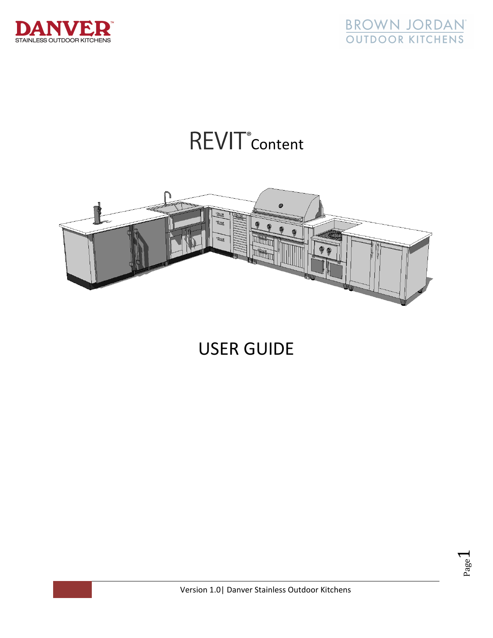



REVIT<sup>®</sup> Content



USER GUIDE

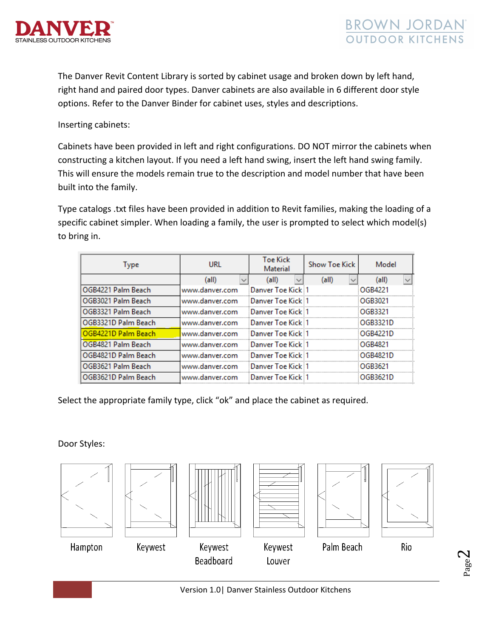



The Danver Revit Content Library is sorted by cabinet usage and broken down by left hand, right hand and paired door types. Danver cabinets are also available in 6 different door style options. Refer to the Danver Binder for cabinet uses, styles and descriptions.

Inserting cabinets:

Cabinets have been provided in left and right configurations. DO NOT mirror the cabinets when constructing a kitchen layout. If you need a left hand swing, insert the left hand swing family. This will ensure the models remain true to the description and model number that have been built into the family.

Type catalogs .txt files have been provided in addition to Revit families, making the loading of a specific cabinet simpler. When loading a family, the user is prompted to select which model(s) to bring in.

| Type                | URL            | <b>Toe Kick</b><br>Material | <b>Show Toe Kick</b> | Model    |
|---------------------|----------------|-----------------------------|----------------------|----------|
|                     | (all)          | (all)                       | (all)                | (all)    |
| OGB4221 Palm Beach  | www.danver.com | Danver Toe Kick 1           |                      | OGB4221  |
| OGB3021 Palm Beach  | www.danver.com | Danver Toe Kick 1           |                      | OGB3021  |
| OGB3321 Palm Beach  | www.danver.com | Danver Toe Kick 1           |                      | OGR3321  |
| OGB3321D Palm Beach | www.danver.com | :Danver Toe Kick :1         |                      | OGB3321D |
| OGB4221D Palm Beach | www.danver.com | Danver Toe Kick 1           |                      | OGB4221D |
| OGB4821 Palm Beach  | www.danver.com | Danver Toe Kick 1           |                      | OGB4821  |
| OGB4821D Palm Beach | www.danver.com | Danver Toe Kick 1           |                      | OGB4821D |
| OGB3621 Palm Beach  | www.danver.com | Danver Toe Kick 1           |                      | OGB3621  |
| OGB3621D Palm Beach | www.danver.com | Danver Toe Kick 1           |                      | OGB3621D |

Select the appropriate family type, click "ok" and place the cabinet as required.

Door Styles:





Keywest





**Beadboard** 







**Rio** 



Louver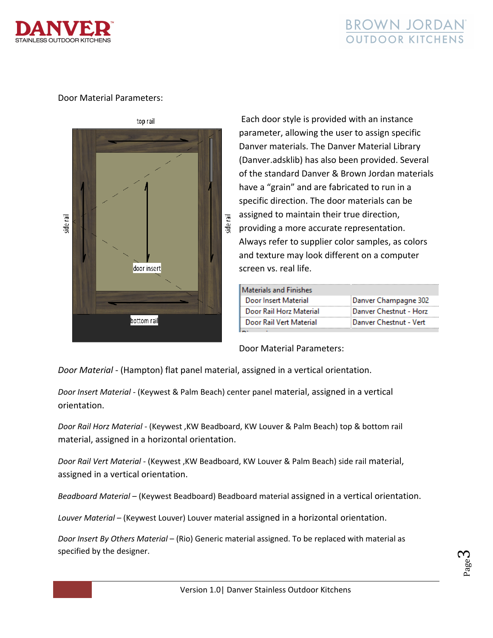

## BROWN JORDAN **OUTDOOR KITCHENS**

## Door Material Parameters:



 Each door style is provided with an instance parameter, allowing the user to assign specific Danver materials. The Danver Material Library (Danver.adsklib) has also been provided. Several of the standard Danver & Brown Jordan materials have a "grain" and are fabricated to run in a specific direction. The door materials can be assigned to maintain their true direction, providing a more accurate representation. Always refer to supplier color samples, as colors and texture may look different on a computer screen vs. real life.

| Materials and Finishes  |                        |
|-------------------------|------------------------|
| Door Insert Material    | Danver Champagne 302   |
| Door Rail Horz Material | Danver Chestnut - Horz |
| Door Rail Vert Material | Danver Chestnut - Vert |

Door Material Parameters:

*Door Material* ‐ (Hampton) flat panel material, assigned in a vertical orientation.

*Door Insert Material* ‐ (Keywest & Palm Beach) center panel material, assigned in a vertical orientation.

*Door Rail Horz Material* ‐ (Keywest ,KW Beadboard, KW Louver & Palm Beach) top & bottom rail material, assigned in a horizontal orientation.

*Door Rail Vert Material* ‐ (Keywest ,KW Beadboard, KW Louver & Palm Beach) side rail material, assigned in a vertical orientation.

*Beadboard Material* – (Keywest Beadboard) Beadboard material assigned in a vertical orientation.

*Louver Material* – (Keywest Louver) Louver material assigned in a horizontal orientation.

*Door Insert By Others Material* – (Rio) Generic material assigned. To be replaced with material as specified by the designer.